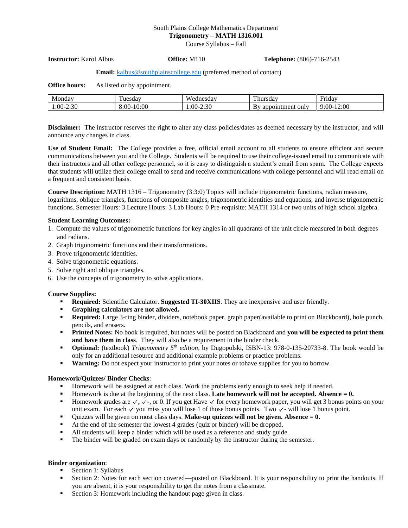# South Plains College Mathematics Department **Trigonometry – MATH 1316.001**

Course Syllabus – Fall

**Instructor:** Karol Albus **Office:** M110 **Telephone:** (806)-716-2543

#### **Email:** [kalbus@southplainscollege.edu](mailto:kalbus@southplainscollege.edu) (preferred method of contact)

| <b>Office hours:</b> | As listed or by appointment. |  |
|----------------------|------------------------------|--|
|----------------------|------------------------------|--|

| Monday         | uesdav       | <b>TTI</b><br>W<br>nesdav | --<br>.sda•<br>. uurs                              | -ridav                 |
|----------------|--------------|---------------------------|----------------------------------------------------|------------------------|
| 2:30<br>$:00-$ | 10:00<br>. . | $-2:30$<br>:00            | . only<br>*ment.<br>appoir<br>וו<br>D <sup>V</sup> | 2:00<br>9:00<br>$\sim$ |

**Disclaimer:** The instructor reserves the right to alter any class policies/dates as deemed necessary by the instructor, and will announce any changes in class.

**Use of Student Email:** The College provides a free, official email account to all students to ensure efficient and secure communications between you and the College. Students will be required to use their college-issued email to communicate with their instructors and all other college personnel, so it is easy to distinguish a student's email from spam. The College expects that students will utilize their college email to send and receive communications with college personnel and will read email on a frequent and consistent basis.

**Course Description:** MATH 1316 – Trigonometry (3:3:0) Topics will include trigonometric functions, radian measure, logarithms, oblique triangles, functions of composite angles, trigonometric identities and equations, and inverse trigonometric functions. Semester Hours: 3 Lecture Hours: 3 Lab Hours: 0 Pre-requisite: MATH 1314 or two units of high school algebra.

## **Student Learning Outcomes:**

- 1. Compute the values of trigonometric functions for key angles in all quadrants of the unit circle measured in both degrees and radians.
- 2. Graph trigonometric functions and their transformations.
- 3. Prove trigonometric identities.
- 4. Solve trigonometric equations.
- 5. Solve right and oblique triangles.
- 6. Use the concepts of trigonometry to solve applications.

#### **Course Supplies:**

- **Required:** Scientific Calculator. **Suggested TI-30XIIS**. They are inexpensive and user friendly.
- **Graphing calculators are not allowed.**
- **Required:** Large 3-ring binder, dividers, notebook paper, graph paper(available to print on Blackboard), hole punch, pencils, and erasers.
- **Printed Notes:** No book is required, but notes will be posted on Blackboard and **you will be expected to print them and have them in class**. They will also be a requirement in the binder check.
- **Optional:** (textbook) *Trigonometry 5 th edition*, by Dugopolski, ISBN-13: 978-0-135-20733-8. The book would be only for an additional resource and additional example problems or practice problems.
- **Warning:** Do not expect your instructor to print your notes or tohave supplies for you to borrow.

# **Homework/Quizzes/ Binder Checks**:

- **Homework will be assigned at each class. Work the problems early enough to seek help if needed.**
- Homework is due at the beginning of the next class. Late homework will not be accepted. Absence  $= 0$ .
- **Exercise1 Homework grades are**  $\checkmark$ **,**  $\checkmark$ **, or 0. If you get Have**  $\checkmark$  **for every homework paper, you will get 3 bonus points on your** unitexam. For each  $\checkmark$  you miss you will lose 1 of those bonus points. Two  $\checkmark$ -will lose 1 bonus point.
- Quizzes will be given on most class days. **Make-up quizzes will not be given. Absence = 0.**
- At the end of the semester the lowest 4 grades (quiz or binder) will be dropped.
- All students will keep a binder which will be used as a reference and study guide.
- **•** The binder will be graded on exam days or randomly by the instructor during the semester.

# **Binder organization**:

- Section 1: Syllabus
- **EXECT** Section 2: Notes for each section covered—posted on Blackboard. It is your responsibility to print the handouts. If you are absent, it is your responsibility to get the notes from a classmate.
- Section 3: Homework including the handout page given in class.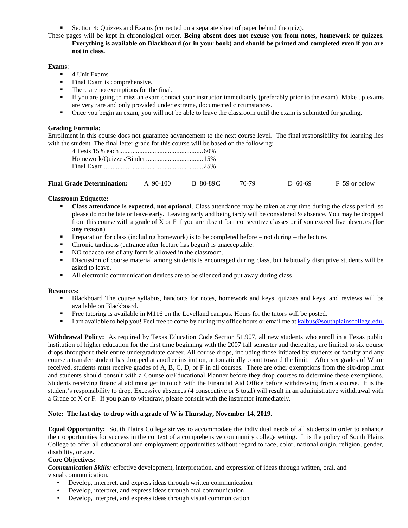■ Section 4: Quizzes and Exams (corrected on a separate sheet of paper behind the quiz).

These pages will be kept in chronological order. **Being absent does not excuse you from notes, homework or quizzes. Everything is available on Blackboard (or in your book) and should be printed and completed even if you are not in class.**

**Exams**:

- 4 Unit Exams
- Final Exam is comprehensive.
- There are no exemptions for the final.
- If you are going to miss an exam contact your instructor immediately (preferably prior to the exam). Make up exams are very rare and only provided under extreme, documented circumstances.
- Once you begin an exam, you will not be able to leave the classroom until the exam is submitted for grading.

### **Grading Formula:**

Enrollment in this course does not guarantee advancement to the next course level. The final responsibility for learning lies with the student. The final letter grade for this course will be based on the following:

| <b>Final Grade Determination:</b> | $90-100$ | B 80-89C |  | D 60-69 | F 59 or below |
|-----------------------------------|----------|----------|--|---------|---------------|
|-----------------------------------|----------|----------|--|---------|---------------|

## **Classroom Etiquette:**

- **Class attendance is expected, not optional.** Class attendance may be taken at any time during the class period, so please do not be late or leave early. Leaving early and being tardy will be considered ½ absence. You may be dropped from this course with a grade of X or F if you are absent four consecutive classes or if you exceed five absences (**for any reason**).
- **•** Preparation for class (including homework) is to be completed before not during the lecture.
- Chronic tardiness (entrance after lecture has begun) is unacceptable.
- NO tobacco use of any form is allowed in the classroom.
- Discussion of course material among students is encouraged during class, but habitually disruptive students will be asked to leave.
- All electronic communication devices are to be silenced and put away during class.

#### **Resources:**

- Blackboard The course syllabus, handouts for notes, homework and keys, quizzes and keys, and reviews will be available on Blackboard.
- Free tutoring is available in M116 on the Levelland campus. Hours for the tutors will be posted.
- **I** am available to help you! Feel free to come by during my office hours or email me at [kalbus@southplainscollege.edu.](mailto:kalbus@southplainscollege.edu)

**Withdrawal Policy:** As required by Texas Education Code Section 51.907, all new students who enroll in a Texas public institution of higher education for the first time beginning with the 2007 fall semester and thereafter, are limited to six course drops throughout their entire undergraduate career. All course drops, including those initiated by students or faculty and any course a transfer student has dropped at another institution, automatically count toward the limit. After six grades of W are received, students must receive grades of A, B, C, D, or F in all courses. There are other exemptions from the six-drop limit and students should consult with a Counselor/Educational Planner before they drop courses to determine these exemptions. Students receiving financial aid must get in touch with the Financial Aid Office before withdrawing from a course. It is the student's responsibility to drop. Excessive absences (4 consecutive or 5 total) will result in an administrative withdrawal with a Grade of X or F. If you plan to withdraw, please consult with the instructor immediately.

### **Note: The last day to drop with a grade of W is Thursday, November 14, 2019.**

**Equal Opportunity:** South Plains College strives to accommodate the individual needs of all students in order to enhance their opportunities for success in the context of a comprehensive community college setting. It is the policy of South Plains College to offer all educational and employment opportunities without regard to race, color, national origin, religion, gender, disability, or age.

#### **Core Objectives:**

*Communication Skills:* effective development, interpretation, and expression of ideas through written, oral, and visual communication.

- Develop, interpret, and express ideas through written communication
- Develop, interpret, and express ideas through oral communication
- Develop, interpret, and express ideas through visual communication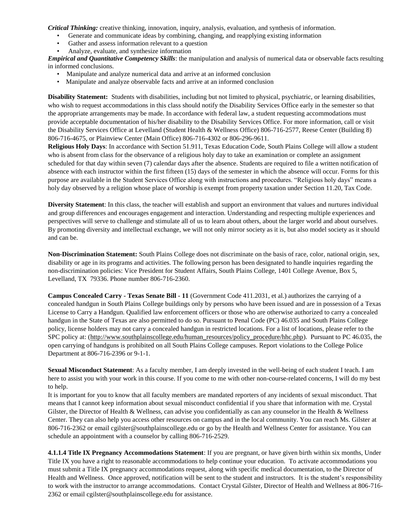*Critical Thinking:* creative thinking, innovation, inquiry, analysis, evaluation, and synthesis of information.

- Generate and communicate ideas by combining, changing, and reapplying existing information
- Gather and assess information relevant to a question
- Analyze, evaluate, and synthesize information

*Empirical and Quantitative Competency Skills*: the manipulation and analysis of numerical data or observable facts resulting in informed conclusions.

- Manipulate and analyze numerical data and arrive at an informed conclusion
- Manipulate and analyze observable facts and arrive at an informed conclusion

**Disability Statement:** Students with disabilities, including but not limited to physical, psychiatric, or learning disabilities, who wish to request accommodations in this class should notify the Disability Services Office early in the semester so that the appropriate arrangements may be made. In accordance with federal law, a student requesting accommodations must provide acceptable documentation of his/her disability to the Disability Services Office. For more information, call or visit the Disability Services Office at Levelland (Student Health & Wellness Office) 806-716-2577, Reese Center (Building 8) 806-716-4675, or Plainview Center (Main Office) 806-716-4302 or 806-296-9611.

**Religious Holy Days**: In accordance with Section 51.911, Texas Education Code, South Plains College will allow a student who is absent from class for the observance of a religious holy day to take an examination or complete an assignment scheduled for that day within seven (7) calendar days after the absence. Students are required to file a written notification of absence with each instructor within the first fifteen (15) days of the semester in which the absence will occur. Forms for this purpose are available in the Student Services Office along with instructions and procedures. "Religious holy days" means a holy day observed by a religion whose place of worship is exempt from property taxation under Section 11.20, Tax Code.

**Diversity Statement**: In this class, the teacher will establish and support an environment that values and nurtures individual and group differences and encourages engagement and interaction. Understanding and respecting multiple experiences and perspectives will serve to challenge and stimulate all of us to learn about others, about the larger world and about ourselves. By promoting diversity and intellectual exchange, we will not only mirror society as it is, but also model society as it should and can be.

**Non-Discrimination Statement:** South Plains College does not discriminate on the basis of race, color, national origin, sex, disability or age in its programs and activities. The following person has been designated to handle inquiries regarding the non-discrimination policies: Vice President for Student Affairs, South Plains College, 1401 College Avenue, Box 5, Levelland, TX 79336. Phone number 806-716-2360.

**Campus Concealed Carry - Texas Senate Bill - 11** (Government Code 411.2031, et al.) authorizes the carrying of a concealed handgun in South Plains College buildings only by persons who have been issued and are in possession of a Texas License to Carry a Handgun. Qualified law enforcement officers or those who are otherwise authorized to carry a concealed handgun in the State of Texas are also permitted to do so. Pursuant to Penal Code (PC) 46.035 and South Plains College policy, license holders may not carry a concealed handgun in restricted locations. For a list of locations, please refer to the SPC policy at: [\(http://www.southplainscollege.edu/human\\_resources/policy\\_procedure/hhc.php\)](http://www.southplainscollege.edu/human_resources/policy_procedure/hhc.php). Pursuant to PC 46.035, the open carrying of handguns is prohibited on all South Plains College campuses. Report violations to the College Police Department at 806-716-2396 or 9-1-1.

**Sexual Misconduct Statement**: As a faculty member, I am deeply invested in the well-being of each student I teach. I am here to assist you with your work in this course. If you come to me with other non-course-related concerns, I will do my best to help.

It is important for you to know that all faculty members are mandated reporters of any incidents of sexual misconduct. That means that I cannot keep information about sexual misconduct confidential if you share that information with me. Crystal Gilster, the Director of Health & Wellness, can advise you confidentially as can any counselor in the Health & Wellness Center. They can also help you access other resources on campus and in the local community. You can reach Ms. Gilster at 806-716-2362 or email [cgilster@southplainscollege.edu](mailto:cgilster@southplainscollege.edu?subject=Title%20IX%20Pregnancy%20Accomodation) or go by the Health and Wellness Center for assistance. You can schedule an appointment with a counselor by calling 806-716-2529.

**4.1.1.4 Title IX Pregnancy Accommodations Statement**: If you are pregnant, or have given birth within six months, Under Title IX you have a right to reasonable accommodations to help continue your education. To activate accommodations you must submit a Title IX pregnancy accommodations request, along with specific medical documentation, to the Director of Health and Wellness. Once approved, notification will be sent to the student and instructors. It is the student's responsibility to work with the instructor to arrange accommodations. Contact Crystal Gilster, Director of Health and Wellness at 806-716- 2362 or email [cgilster@southplainscollege.edu](mailto:cgilster@southplainscollege.edu?subject=Title%20IX%20Pregnancy%20Accomodation) for assistance.